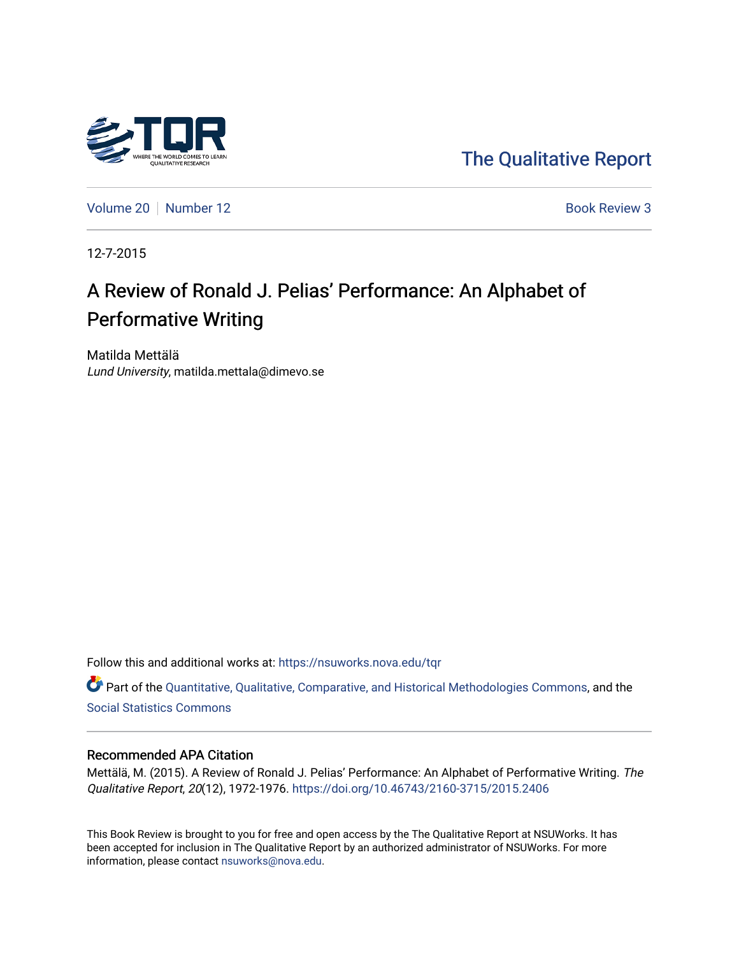

[The Qualitative Report](https://nsuworks.nova.edu/tqr) 

[Volume 20](https://nsuworks.nova.edu/tqr/vol20) | [Number 12](https://nsuworks.nova.edu/tqr/vol20/iss12) Book Review 3

12-7-2015

# A Review of Ronald J. Pelias' Performance: An Alphabet of Performative Writing

Matilda Mettälä Lund University, matilda.mettala@dimevo.se

Follow this and additional works at: [https://nsuworks.nova.edu/tqr](https://nsuworks.nova.edu/tqr?utm_source=nsuworks.nova.edu%2Ftqr%2Fvol20%2Fiss12%2F3&utm_medium=PDF&utm_campaign=PDFCoverPages) 

Part of the [Quantitative, Qualitative, Comparative, and Historical Methodologies Commons,](http://network.bepress.com/hgg/discipline/423?utm_source=nsuworks.nova.edu%2Ftqr%2Fvol20%2Fiss12%2F3&utm_medium=PDF&utm_campaign=PDFCoverPages) and the [Social Statistics Commons](http://network.bepress.com/hgg/discipline/1275?utm_source=nsuworks.nova.edu%2Ftqr%2Fvol20%2Fiss12%2F3&utm_medium=PDF&utm_campaign=PDFCoverPages) 

#### Recommended APA Citation

Mettälä, M. (2015). A Review of Ronald J. Pelias' Performance: An Alphabet of Performative Writing. The Qualitative Report, 20(12), 1972-1976.<https://doi.org/10.46743/2160-3715/2015.2406>

This Book Review is brought to you for free and open access by the The Qualitative Report at NSUWorks. It has been accepted for inclusion in The Qualitative Report by an authorized administrator of NSUWorks. For more information, please contact [nsuworks@nova.edu.](mailto:nsuworks@nova.edu)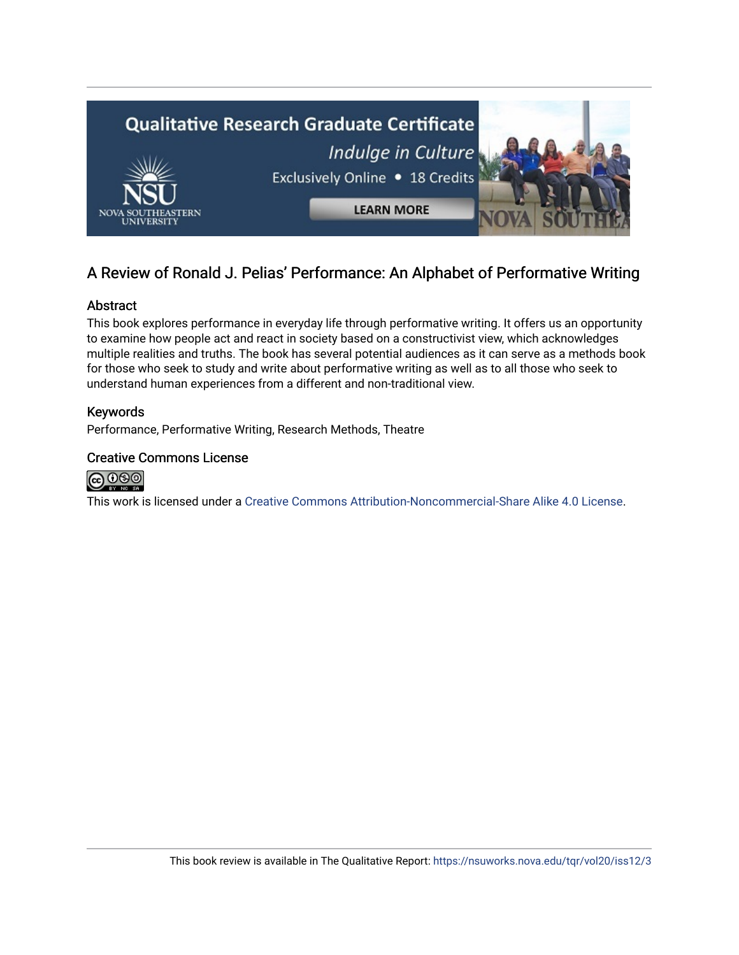

# A Review of Ronald J. Pelias' Performance: An Alphabet of Performative Writing

### Abstract

This book explores performance in everyday life through performative writing. It offers us an opportunity to examine how people act and react in society based on a constructivist view, which acknowledges multiple realities and truths. The book has several potential audiences as it can serve as a methods book for those who seek to study and write about performative writing as well as to all those who seek to understand human experiences from a different and non-traditional view.

### Keywords

Performance, Performative Writing, Research Methods, Theatre

### Creative Commons License



This work is licensed under a [Creative Commons Attribution-Noncommercial-Share Alike 4.0 License](https://creativecommons.org/licenses/by-nc-sa/4.0/).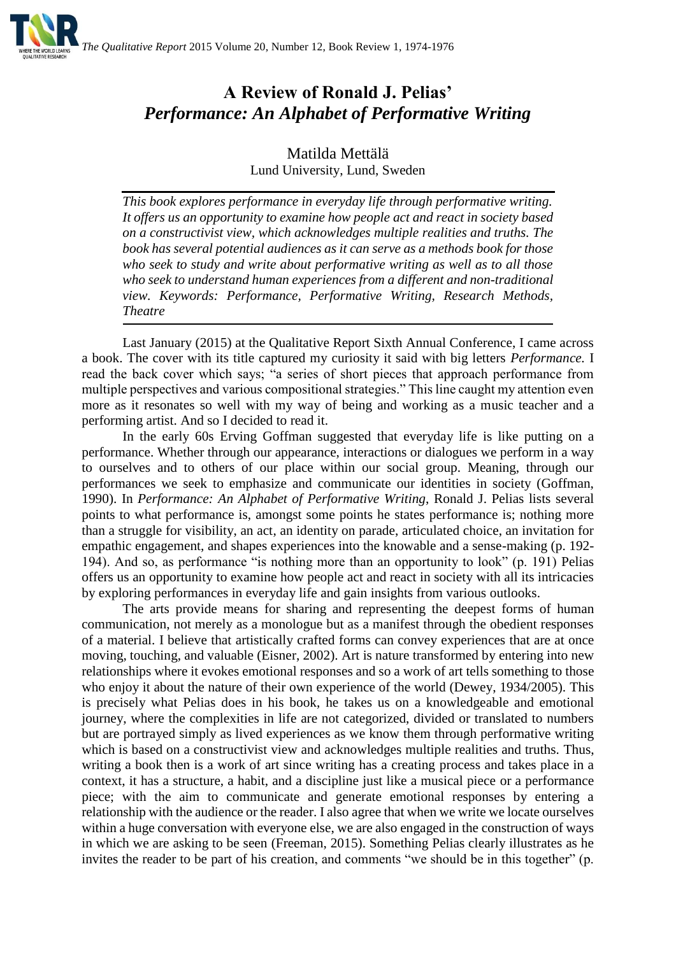

# **A Review of Ronald J. Pelias'**  *Performance: An Alphabet of Performative Writing*

Matilda Mettälä Lund University, Lund, Sweden

*This book explores performance in everyday life through performative writing. It offers us an opportunity to examine how people act and react in society based on a constructivist view, which acknowledges multiple realities and truths. The book has several potential audiences as it can serve as a methods book for those who seek to study and write about performative writing as well as to all those who seek to understand human experiences from a different and non-traditional view. Keywords: Performance, Performative Writing, Research Methods, Theatre*

Last January (2015) at the Qualitative Report Sixth Annual Conference, I came across a book. The cover with its title captured my curiosity it said with big letters *Performance.* I read the back cover which says; "a series of short pieces that approach performance from multiple perspectives and various compositional strategies." This line caught my attention even more as it resonates so well with my way of being and working as a music teacher and a performing artist. And so I decided to read it.

In the early 60s Erving Goffman suggested that everyday life is like putting on a performance. Whether through our appearance, interactions or dialogues we perform in a way to ourselves and to others of our place within our social group. Meaning, through our performances we seek to emphasize and communicate our identities in society (Goffman, 1990). In *Performance: An Alphabet of Performative Writing*, Ronald J. Pelias lists several points to what performance is, amongst some points he states performance is; nothing more than a struggle for visibility, an act, an identity on parade, articulated choice, an invitation for empathic engagement, and shapes experiences into the knowable and a sense-making (p. 192- 194). And so, as performance "is nothing more than an opportunity to look" (p. 191) Pelias offers us an opportunity to examine how people act and react in society with all its intricacies by exploring performances in everyday life and gain insights from various outlooks.

The arts provide means for sharing and representing the deepest forms of human communication, not merely as a monologue but as a manifest through the obedient responses of a material. I believe that artistically crafted forms can convey experiences that are at once moving, touching, and valuable (Eisner, 2002). Art is nature transformed by entering into new relationships where it evokes emotional responses and so a work of art tells something to those who enjoy it about the nature of their own experience of the world (Dewey, 1934/2005). This is precisely what Pelias does in his book, he takes us on a knowledgeable and emotional journey, where the complexities in life are not categorized, divided or translated to numbers but are portrayed simply as lived experiences as we know them through performative writing which is based on a constructivist view and acknowledges multiple realities and truths. Thus, writing a book then is a work of art since writing has a creating process and takes place in a context, it has a structure, a habit, and a discipline just like a musical piece or a performance piece; with the aim to communicate and generate emotional responses by entering a relationship with the audience or the reader. I also agree that when we write we locate ourselves within a huge conversation with everyone else, we are also engaged in the construction of ways in which we are asking to be seen (Freeman, 2015). Something Pelias clearly illustrates as he invites the reader to be part of his creation, and comments "we should be in this together" (p.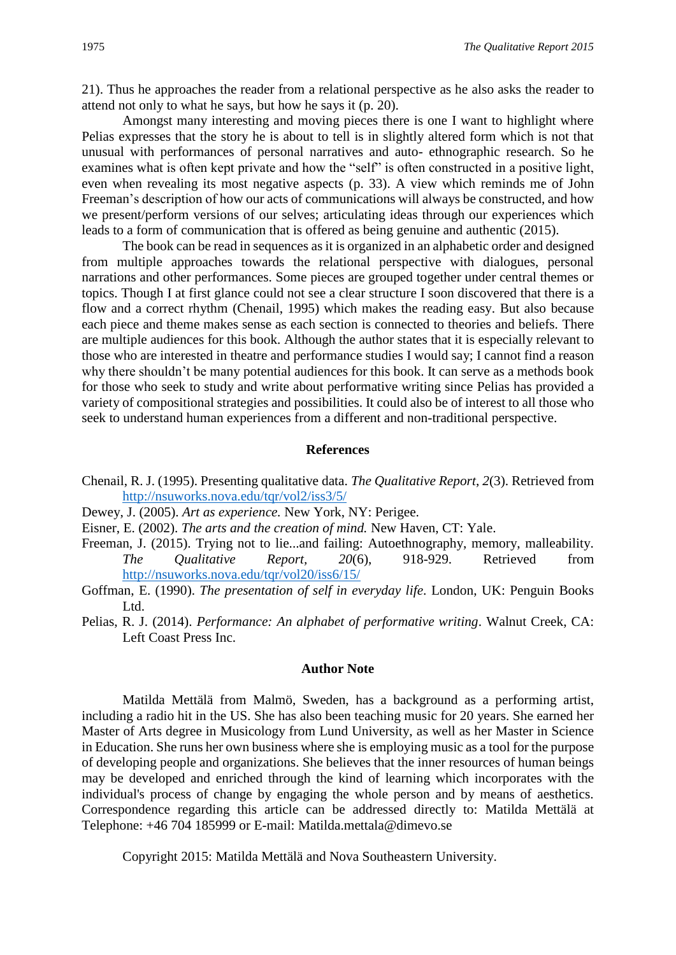21). Thus he approaches the reader from a relational perspective as he also asks the reader to attend not only to what he says, but how he says it (p. 20).

Amongst many interesting and moving pieces there is one I want to highlight where Pelias expresses that the story he is about to tell is in slightly altered form which is not that unusual with performances of personal narratives and auto- ethnographic research. So he examines what is often kept private and how the "self" is often constructed in a positive light, even when revealing its most negative aspects (p. 33). A view which reminds me of John Freeman's description of how our acts of communications will always be constructed, and how we present/perform versions of our selves; articulating ideas through our experiences which leads to a form of communication that is offered as being genuine and authentic (2015).

The book can be read in sequences as it is organized in an alphabetic order and designed from multiple approaches towards the relational perspective with dialogues, personal narrations and other performances. Some pieces are grouped together under central themes or topics. Though I at first glance could not see a clear structure I soon discovered that there is a flow and a correct rhythm (Chenail, 1995) which makes the reading easy. But also because each piece and theme makes sense as each section is connected to theories and beliefs. There are multiple audiences for this book. Although the author states that it is especially relevant to those who are interested in theatre and performance studies I would say; I cannot find a reason why there shouldn't be many potential audiences for this book. It can serve as a methods book for those who seek to study and write about performative writing since Pelias has provided a variety of compositional strategies and possibilities. It could also be of interest to all those who seek to understand human experiences from a different and non-traditional perspective.

#### **References**

- Chenail, R. J. (1995). Presenting qualitative data. *The Qualitative Report*, *2*(3). Retrieved from <http://nsuworks.nova.edu/tqr/vol2/iss3/5/>
- Dewey, J. (2005). *Art as experience.* New York, NY: Perigee.
- Eisner, E. (2002). *The arts and the creation of mind.* New Haven, CT: Yale.
- Freeman, J. (2015). Trying not to lie...and failing: Autoethnography, memory, malleability. *The Qualitative Report, 20*(6), 918-929. Retrieved from <http://nsuworks.nova.edu/tqr/vol20/iss6/15/>
- Goffman, E. (1990). *The presentation of self in everyday life*. London, UK: Penguin Books Ltd.
- Pelias, R. J. (2014). *Performance: An alphabet of performative writing*. Walnut Creek, CA: Left Coast Press Inc.

#### **Author Note**

Matilda Mettälä from Malmö, Sweden, has a background as a performing artist, including a radio hit in the US. She has also been teaching music for 20 years. She earned her Master of Arts degree in Musicology from Lund University, as well as her Master in Science in Education. She runs her own business where she is employing music as a tool for the purpose of developing people and organizations. She believes that the inner resources of human beings may be developed and enriched through the kind of learning which incorporates with the individual's process of change by engaging the whole person and by means of aesthetics. Correspondence regarding this article can be addressed directly to: Matilda Mettälä at Telephone: +46 704 185999 or E-mail: Matilda.mettala@dimevo.se

Copyright 2015: Matilda Mettälä and Nova Southeastern University.